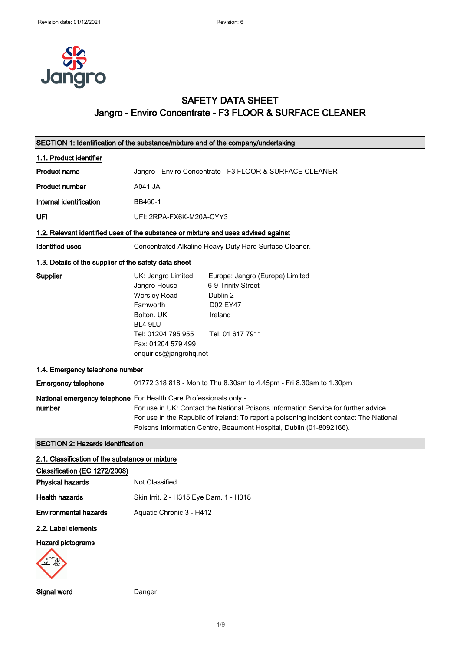

# SAFETY DATA SHEET Jangro - Enviro Concentrate - F3 FLOOR & SURFACE CLEANER

|                                                       | SECTION 1: Identification of the substance/mixture and of the company/undertaking                                                                                                                                                                                                                                          |
|-------------------------------------------------------|----------------------------------------------------------------------------------------------------------------------------------------------------------------------------------------------------------------------------------------------------------------------------------------------------------------------------|
| 1.1. Product identifier                               |                                                                                                                                                                                                                                                                                                                            |
| <b>Product name</b>                                   | Jangro - Enviro Concentrate - F3 FLOOR & SURFACE CLEANER                                                                                                                                                                                                                                                                   |
| <b>Product number</b>                                 | A041 JA                                                                                                                                                                                                                                                                                                                    |
| Internal identification                               | BB460-1                                                                                                                                                                                                                                                                                                                    |
| <b>UFI</b>                                            | UFI: 2RPA-FX6K-M20A-CYY3                                                                                                                                                                                                                                                                                                   |
|                                                       | 1.2. Relevant identified uses of the substance or mixture and uses advised against                                                                                                                                                                                                                                         |
| <b>Identified uses</b>                                | Concentrated Alkaline Heavy Duty Hard Surface Cleaner.                                                                                                                                                                                                                                                                     |
| 1.3. Details of the supplier of the safety data sheet |                                                                                                                                                                                                                                                                                                                            |
| Supplier                                              | UK: Jangro Limited<br>Europe: Jangro (Europe) Limited<br>Jangro House<br>6-9 Trinity Street<br><b>Worsley Road</b><br>Dublin 2<br>Farnworth<br>D02 EY47<br>Bolton. UK<br>Ireland<br>BL4 9LU<br>Tel: 01204 795 955<br>Tel: 01 617 7911<br>Fax: 01204 579 499<br>enquiries@jangrohq.net                                      |
| 1.4. Emergency telephone number                       |                                                                                                                                                                                                                                                                                                                            |
| <b>Emergency telephone</b>                            | 01772 318 818 - Mon to Thu 8.30am to 4.45pm - Fri 8.30am to 1.30pm                                                                                                                                                                                                                                                         |
| number                                                | National emergency telephone For Health Care Professionals only -<br>For use in UK: Contact the National Poisons Information Service for further advice.<br>For use in the Republic of Ireland: To report a poisoning incident contact The National<br>Poisons Information Centre, Beaumont Hospital, Dublin (01-8092166). |
| <b>SECTION 2: Hazards identification</b>              |                                                                                                                                                                                                                                                                                                                            |
| 2.1. Classification of the substance or mixture       |                                                                                                                                                                                                                                                                                                                            |
| Classification (EC 1272/2008)                         |                                                                                                                                                                                                                                                                                                                            |
| <b>Physical hazards</b>                               | Not Classified                                                                                                                                                                                                                                                                                                             |
| <b>Health hazards</b>                                 | Skin Irrit. 2 - H315 Eye Dam. 1 - H318                                                                                                                                                                                                                                                                                     |
| <b>Environmental hazards</b>                          | Aquatic Chronic 3 - H412                                                                                                                                                                                                                                                                                                   |
| 2.2. Label elements                                   |                                                                                                                                                                                                                                                                                                                            |
| <b>Hazard pictograms</b>                              |                                                                                                                                                                                                                                                                                                                            |

Signal word Danger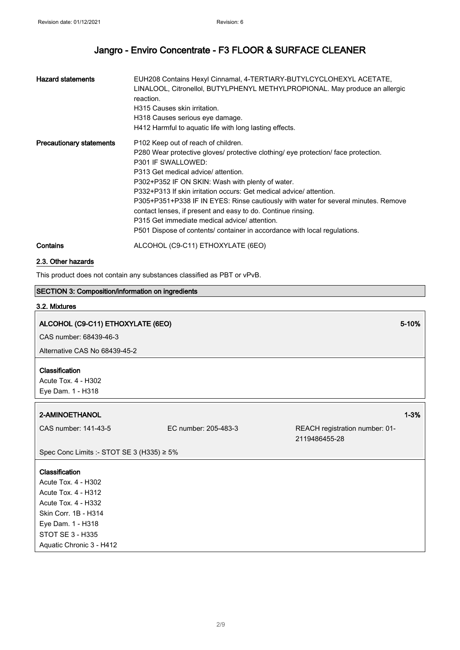| <b>Hazard statements</b>        | EUH208 Contains Hexyl Cinnamal, 4-TERTIARY-BUTYLCYCLOHEXYL ACETATE,<br>LINALOOL, Citronellol, BUTYLPHENYL METHYLPROPIONAL. May produce an allergic<br>reaction.<br>H315 Causes skin irritation.<br>H318 Causes serious eye damage.<br>H412 Harmful to aquatic life with long lasting effects.                                                                                                                                                                                                                                                                                                                  |
|---------------------------------|----------------------------------------------------------------------------------------------------------------------------------------------------------------------------------------------------------------------------------------------------------------------------------------------------------------------------------------------------------------------------------------------------------------------------------------------------------------------------------------------------------------------------------------------------------------------------------------------------------------|
| <b>Precautionary statements</b> | P <sub>102</sub> Keep out of reach of children.<br>P280 Wear protective gloves/ protective clothing/ eye protection/ face protection.<br>P301 IF SWALLOWED:<br>P313 Get medical advice/attention.<br>P302+P352 IF ON SKIN: Wash with plenty of water.<br>P332+P313 If skin irritation occurs: Get medical advice/attention.<br>P305+P351+P338 IF IN EYES: Rinse cautiously with water for several minutes. Remove<br>contact lenses, if present and easy to do. Continue rinsing.<br>P315 Get immediate medical advice/attention.<br>P501 Dispose of contents/ container in accordance with local regulations. |
| Contains                        | ALCOHOL (C9-C11) ETHOXYLATE (6EO)                                                                                                                                                                                                                                                                                                                                                                                                                                                                                                                                                                              |

#### 2.3. Other hazards

This product does not contain any substances classified as PBT or vPvB.

## SECTION 3: Composition/information on ingredients

#### 3.2. Mixtures

# ALCOHOL (C9-C11) ETHOXYLATE (6EO) 5-10% (SECONDENSIDE SUPPORTIVATION CONTINUES AND SUPPORTIVATE SUPPORTIVATE

CAS number: 68439-46-3

Alternative CAS No 68439-45-2

## Classification

Acute Tox. 4 - H302 Eye Dam. 1 - H318

#### 2-AMINOETHANOL 1-3%

CAS number: 141-43-5 EC number: 205-483-3 REACH registration number: 01- 2119486455-28

Spec Conc Limits :- STOT SE 3 (H335) ≥ 5%

#### **Classification**

Acute Tox. 4 - H302 Acute Tox. 4 - H312 Acute Tox. 4 - H332 Skin Corr. 1B - H314 Eye Dam. 1 - H318 STOT SE 3 - H335 Aquatic Chronic 3 - H412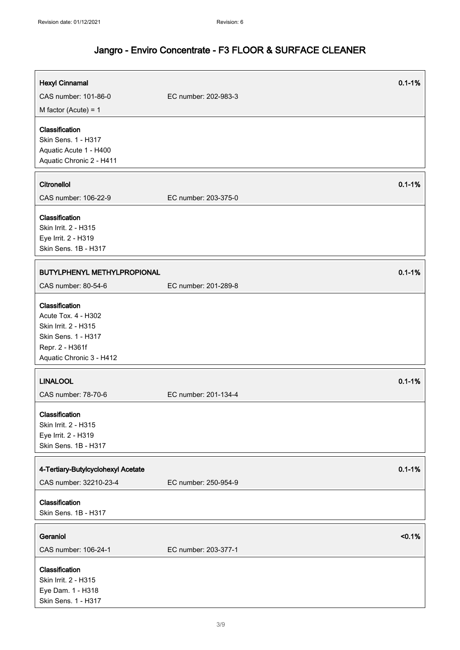| <b>Hexyl Cinnamal</b><br>CAS number: 101-86-0<br>M factor (Acute) = $1$                                                             | $0.1 - 1%$<br>EC number: 202-983-3 |
|-------------------------------------------------------------------------------------------------------------------------------------|------------------------------------|
| Classification<br>Skin Sens. 1 - H317<br>Aquatic Acute 1 - H400<br>Aquatic Chronic 2 - H411                                         |                                    |
| Citronellol<br>CAS number: 106-22-9                                                                                                 | $0.1 - 1%$<br>EC number: 203-375-0 |
| Classification<br>Skin Irrit. 2 - H315<br>Eye Irrit. 2 - H319<br>Skin Sens. 1B - H317                                               |                                    |
| BUTYLPHENYL METHYLPROPIONAL<br>CAS number: 80-54-6                                                                                  | $0.1 - 1%$<br>EC number: 201-289-8 |
| Classification<br>Acute Tox. 4 - H302<br>Skin Irrit. 2 - H315<br>Skin Sens. 1 - H317<br>Repr. 2 - H361f<br>Aquatic Chronic 3 - H412 |                                    |
| <b>LINALOOL</b><br>CAS number: 78-70-6                                                                                              | $0.1 - 1%$<br>EC number: 201-134-4 |
| Classification<br>Skin Irrit. 2 - H315<br>Eye Irrit. 2 - H319<br>Skin Sens. 1B - H317                                               |                                    |
| 4-Tertiary-Butylcyclohexyl Acetate                                                                                                  | $0.1 - 1%$<br>EC number: 250-954-9 |
| CAS number: 32210-23-4<br>Classification<br>Skin Sens. 1B - H317                                                                    |                                    |
| Geraniol<br>CAS number: 106-24-1                                                                                                    | < 0.1%<br>EC number: 203-377-1     |
| Classification<br>Skin Irrit. 2 - H315<br>Eye Dam. 1 - H318<br>Skin Sens. 1 - H317                                                  |                                    |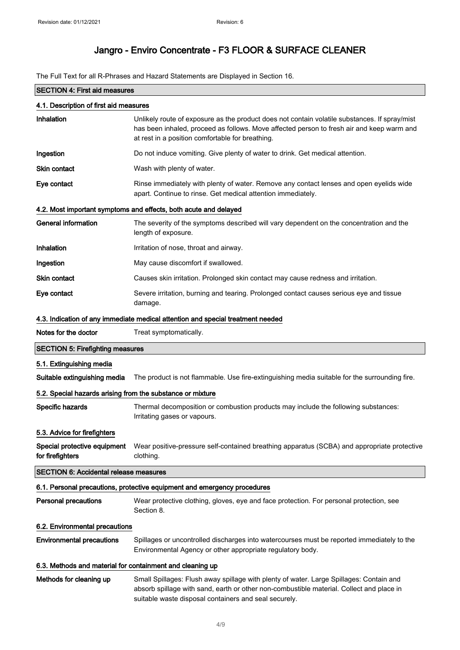The Full Text for all R-Phrases and Hazard Statements are Displayed in Section 16.

| <b>SECTION 4: First aid measures</b>                       |                                                                                                                                                                                                                                                |  |  |
|------------------------------------------------------------|------------------------------------------------------------------------------------------------------------------------------------------------------------------------------------------------------------------------------------------------|--|--|
| 4.1. Description of first aid measures                     |                                                                                                                                                                                                                                                |  |  |
| Inhalation                                                 | Unlikely route of exposure as the product does not contain volatile substances. If spray/mist<br>has been inhaled, proceed as follows. Move affected person to fresh air and keep warm and<br>at rest in a position comfortable for breathing. |  |  |
| Ingestion                                                  | Do not induce vomiting. Give plenty of water to drink. Get medical attention.                                                                                                                                                                  |  |  |
| <b>Skin contact</b>                                        | Wash with plenty of water.                                                                                                                                                                                                                     |  |  |
| Eye contact                                                | Rinse immediately with plenty of water. Remove any contact lenses and open eyelids wide<br>apart. Continue to rinse. Get medical attention immediately.                                                                                        |  |  |
|                                                            | 4.2. Most important symptoms and effects, both acute and delayed                                                                                                                                                                               |  |  |
| <b>General information</b>                                 | The severity of the symptoms described will vary dependent on the concentration and the<br>length of exposure.                                                                                                                                 |  |  |
| Inhalation                                                 | Irritation of nose, throat and airway.                                                                                                                                                                                                         |  |  |
| Ingestion                                                  | May cause discomfort if swallowed.                                                                                                                                                                                                             |  |  |
| <b>Skin contact</b>                                        | Causes skin irritation. Prolonged skin contact may cause redness and irritation.                                                                                                                                                               |  |  |
| Eye contact                                                | Severe irritation, burning and tearing. Prolonged contact causes serious eye and tissue<br>damage.                                                                                                                                             |  |  |
|                                                            | 4.3. Indication of any immediate medical attention and special treatment needed                                                                                                                                                                |  |  |
| Notes for the doctor                                       | Treat symptomatically.                                                                                                                                                                                                                         |  |  |
| <b>SECTION 5: Firefighting measures</b>                    |                                                                                                                                                                                                                                                |  |  |
| 5.1. Extinguishing media                                   |                                                                                                                                                                                                                                                |  |  |
| Suitable extinguishing media                               | The product is not flammable. Use fire-extinguishing media suitable for the surrounding fire.                                                                                                                                                  |  |  |
| 5.2. Special hazards arising from the substance or mixture |                                                                                                                                                                                                                                                |  |  |
| Specific hazards                                           | Thermal decomposition or combustion products may include the following substances:<br>Irritating gases or vapours.                                                                                                                             |  |  |
| 5.3. Advice for firefighters                               |                                                                                                                                                                                                                                                |  |  |
| Special protective equipment<br>for firefighters           | Wear positive-pressure self-contained breathing apparatus (SCBA) and appropriate protective<br>clothing.                                                                                                                                       |  |  |
| <b>SECTION 6: Accidental release measures</b>              |                                                                                                                                                                                                                                                |  |  |
|                                                            | 6.1. Personal precautions, protective equipment and emergency procedures                                                                                                                                                                       |  |  |
| <b>Personal precautions</b>                                | Wear protective clothing, gloves, eye and face protection. For personal protection, see<br>Section 8.                                                                                                                                          |  |  |
| 6.2. Environmental precautions                             |                                                                                                                                                                                                                                                |  |  |
| <b>Environmental precautions</b>                           | Spillages or uncontrolled discharges into watercourses must be reported immediately to the<br>Environmental Agency or other appropriate regulatory body.                                                                                       |  |  |
| 6.3. Methods and material for containment and cleaning up  |                                                                                                                                                                                                                                                |  |  |
| Methods for cleaning up                                    | Small Spillages: Flush away spillage with plenty of water. Large Spillages: Contain and<br>absorb spillage with sand, earth or other non-combustible material. Collect and place in<br>suitable waste disposal containers and seal securely.   |  |  |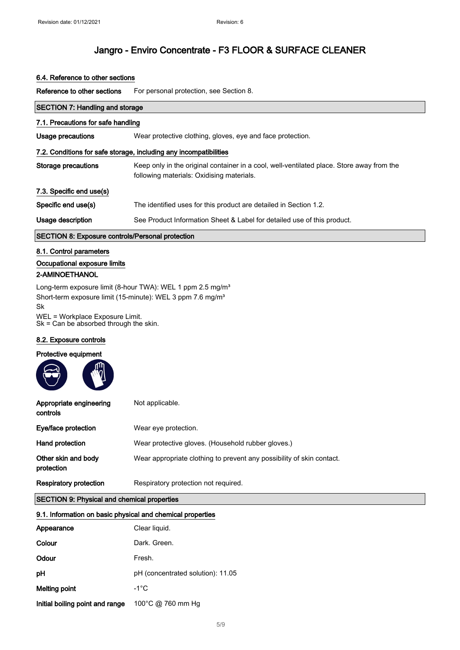## 6.4. Reference to other sections

Reference to other sections For personal protection, see Section 8.

| <b>SECTION 7: Handling and storage</b>                                       |                                                                                                                                        |  |
|------------------------------------------------------------------------------|----------------------------------------------------------------------------------------------------------------------------------------|--|
| 7.1. Precautions for safe handling                                           |                                                                                                                                        |  |
| Usage precautions                                                            | Wear protective clothing, gloves, eye and face protection.                                                                             |  |
|                                                                              | 7.2. Conditions for safe storage, including any incompatibilities                                                                      |  |
| Storage precautions                                                          | Keep only in the original container in a cool, well-ventilated place. Store away from the<br>following materials: Oxidising materials. |  |
| 7.3. Specific end use(s)                                                     |                                                                                                                                        |  |
| Specific end use(s)                                                          | The identified uses for this product are detailed in Section 1.2.                                                                      |  |
| Usage description                                                            | See Product Information Sheet & Label for detailed use of this product.                                                                |  |
| <b>SECTION 8: Exposure controls/Personal protection</b>                      |                                                                                                                                        |  |
| 8.1. Control parameters                                                      |                                                                                                                                        |  |
| Occupational exposure limits                                                 |                                                                                                                                        |  |
| 2-AMINOETHANOL                                                               |                                                                                                                                        |  |
| Short-term exposure limit (15-minute): WEL 3 ppm 7.6 mg/m <sup>3</sup><br>Sk | Long-term exposure limit (8-hour TWA): WEL 1 ppm 2.5 mg/m <sup>3</sup>                                                                 |  |

WEL = Workplace Exposure Limit. Sk = Can be absorbed through the skin.

#### 8.2. Exposure controls

## Protective equipment

| Appropriate engineering<br>controls | Not applicable.                                                       |
|-------------------------------------|-----------------------------------------------------------------------|
| Eye/face protection                 | Wear eye protection.                                                  |
| Hand protection                     | Wear protective gloves. (Household rubber gloves.)                    |
| Other skin and body<br>protection   | Wear appropriate clothing to prevent any possibility of skin contact. |
| <b>Respiratory protection</b>       | Respiratory protection not required.                                  |

## SECTION 9: Physical and chemical properties

## 9.1. Information on basic physical and chemical properties

| Appearance                      | Clear liquid.                     |
|---------------------------------|-----------------------------------|
| Colour                          | Dark, Green,                      |
| Odour                           | Fresh.                            |
| рH                              | pH (concentrated solution): 11.05 |
| Melting point                   | $-1^{\circ}$ C                    |
| Initial boiling point and range | 100°C @ 760 mm Hg                 |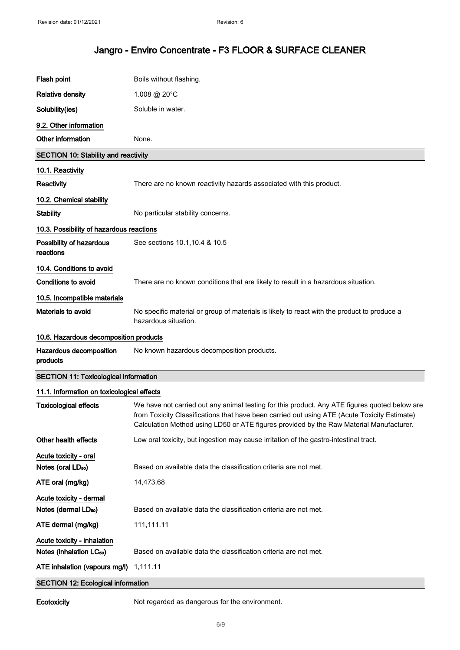| Flash point                                                           | Boils without flashing.                                                                                                                                                                                                                                                                  |
|-----------------------------------------------------------------------|------------------------------------------------------------------------------------------------------------------------------------------------------------------------------------------------------------------------------------------------------------------------------------------|
| <b>Relative density</b>                                               | 1.008 @ 20°C                                                                                                                                                                                                                                                                             |
| Solubility(ies)                                                       | Soluble in water.                                                                                                                                                                                                                                                                        |
| 9.2. Other information                                                |                                                                                                                                                                                                                                                                                          |
| Other information                                                     | None.                                                                                                                                                                                                                                                                                    |
| <b>SECTION 10: Stability and reactivity</b>                           |                                                                                                                                                                                                                                                                                          |
| 10.1. Reactivity                                                      |                                                                                                                                                                                                                                                                                          |
| Reactivity                                                            | There are no known reactivity hazards associated with this product.                                                                                                                                                                                                                      |
| 10.2. Chemical stability                                              |                                                                                                                                                                                                                                                                                          |
| <b>Stability</b>                                                      | No particular stability concerns.                                                                                                                                                                                                                                                        |
| 10.3. Possibility of hazardous reactions                              |                                                                                                                                                                                                                                                                                          |
| Possibility of hazardous<br>reactions                                 | See sections 10.1, 10.4 & 10.5                                                                                                                                                                                                                                                           |
| 10.4. Conditions to avoid                                             |                                                                                                                                                                                                                                                                                          |
| <b>Conditions to avoid</b>                                            | There are no known conditions that are likely to result in a hazardous situation.                                                                                                                                                                                                        |
| 10.5. Incompatible materials                                          |                                                                                                                                                                                                                                                                                          |
| Materials to avoid                                                    | No specific material or group of materials is likely to react with the product to produce a<br>hazardous situation.                                                                                                                                                                      |
| 10.6. Hazardous decomposition products                                |                                                                                                                                                                                                                                                                                          |
| Hazardous decomposition<br>products                                   | No known hazardous decomposition products.                                                                                                                                                                                                                                               |
| <b>SECTION 11: Toxicological information</b>                          |                                                                                                                                                                                                                                                                                          |
| 11.1. Information on toxicological effects                            |                                                                                                                                                                                                                                                                                          |
| <b>Toxicological effects</b>                                          | We have not carried out any animal testing for this product. Any ATE figures quoted below are<br>from Toxicity Classifications that have been carried out using ATE (Acute Toxicity Estimate)<br>Calculation Method using LD50 or ATE figures provided by the Raw Material Manufacturer. |
| Other health effects                                                  | Low oral toxicity, but ingestion may cause irritation of the gastro-intestinal tract.                                                                                                                                                                                                    |
| Acute toxicity - oral                                                 |                                                                                                                                                                                                                                                                                          |
| Notes (oral LD <sub>50</sub> )                                        | Based on available data the classification criteria are not met.                                                                                                                                                                                                                         |
| ATE oral (mg/kg)                                                      | 14,473.68                                                                                                                                                                                                                                                                                |
| Acute toxicity - dermal                                               |                                                                                                                                                                                                                                                                                          |
| Notes (dermal LD <sub>50</sub> )                                      | Based on available data the classification criteria are not met.                                                                                                                                                                                                                         |
| ATE dermal (mg/kg)                                                    | 111,111.11                                                                                                                                                                                                                                                                               |
| Acute toxicity - inhalation                                           |                                                                                                                                                                                                                                                                                          |
| Notes (inhalation LC <sub>50</sub> )<br>ATE inhalation (vapours mg/l) | Based on available data the classification criteria are not met.<br>1,111.11                                                                                                                                                                                                             |
|                                                                       |                                                                                                                                                                                                                                                                                          |
| <b>SECTION 12: Ecological information</b>                             |                                                                                                                                                                                                                                                                                          |

Ecotoxicity Not regarded as dangerous for the environment.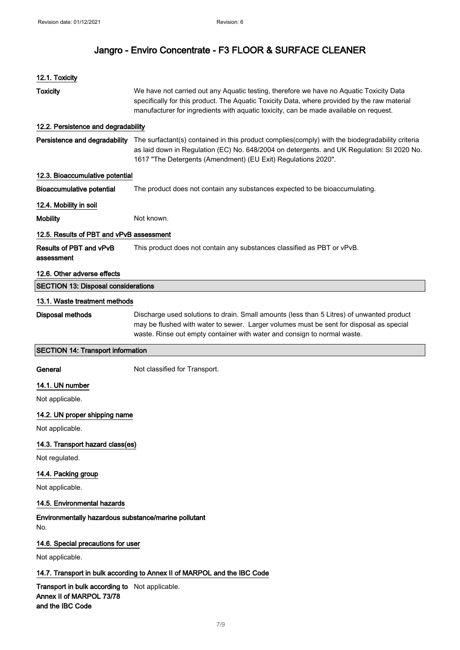| 12.1. Toxicity                                                                                 |                                                                                                                                                                                                                                                                                  |  |
|------------------------------------------------------------------------------------------------|----------------------------------------------------------------------------------------------------------------------------------------------------------------------------------------------------------------------------------------------------------------------------------|--|
| <b>Toxicity</b>                                                                                | We have not carried out any Aquatic testing, therefore we have no Aquatic Toxicity Data<br>specifically for this product. The Aquatic Toxicity Data, where provided by the raw material<br>manufacturer for ingredients with aquatic toxicity, can be made available on request. |  |
| 12.2. Persistence and degradability                                                            |                                                                                                                                                                                                                                                                                  |  |
| Persistence and degradability                                                                  | The surfactant(s) contained in this product complies(comply) with the biodegradability criteria<br>as laid down in Regulation (EC) No. 648/2004 on detergents. and UK Regulation: SI 2020 No.<br>1617 "The Detergents (Amendment) (EU Exit) Regulations 2020".                   |  |
| 12.3. Bioaccumulative potential                                                                |                                                                                                                                                                                                                                                                                  |  |
| <b>Bioaccumulative potential</b>                                                               | The product does not contain any substances expected to be bioaccumulating.                                                                                                                                                                                                      |  |
| 12.4. Mobility in soil                                                                         |                                                                                                                                                                                                                                                                                  |  |
| <b>Mobility</b>                                                                                | Not known.                                                                                                                                                                                                                                                                       |  |
| 12.5. Results of PBT and vPvB assessment                                                       |                                                                                                                                                                                                                                                                                  |  |
| Results of PBT and vPvB<br>assessment                                                          | This product does not contain any substances classified as PBT or vPvB.                                                                                                                                                                                                          |  |
| 12.6. Other adverse effects                                                                    |                                                                                                                                                                                                                                                                                  |  |
| <b>SECTION 13: Disposal considerations</b>                                                     |                                                                                                                                                                                                                                                                                  |  |
| 13.1. Waste treatment methods                                                                  |                                                                                                                                                                                                                                                                                  |  |
| <b>Disposal methods</b>                                                                        | Discharge used solutions to drain. Small amounts (less than 5 Litres) of unwanted product<br>may be flushed with water to sewer. Larger volumes must be sent for disposal as special<br>waste. Rinse out empty container with water and consign to normal waste.                 |  |
| <b>SECTION 14: Transport information</b>                                                       |                                                                                                                                                                                                                                                                                  |  |
| General                                                                                        | Not classified for Transport.                                                                                                                                                                                                                                                    |  |
| 14.1. UN number<br>Not applicable.                                                             |                                                                                                                                                                                                                                                                                  |  |
| 14.2. UN proper shipping name<br>Not applicable.                                               |                                                                                                                                                                                                                                                                                  |  |
| 14.3. Transport hazard class(es)<br>Not regulated.                                             |                                                                                                                                                                                                                                                                                  |  |
| 14.4. Packing group<br>Not applicable.                                                         |                                                                                                                                                                                                                                                                                  |  |
| 14.5. Environmental hazards                                                                    |                                                                                                                                                                                                                                                                                  |  |
| Environmentally hazardous substance/marine pollutant<br>No.                                    |                                                                                                                                                                                                                                                                                  |  |
| 14.6. Special precautions for user                                                             |                                                                                                                                                                                                                                                                                  |  |
| Not applicable.                                                                                |                                                                                                                                                                                                                                                                                  |  |
|                                                                                                | 14.7. Transport in bulk according to Annex II of MARPOL and the IBC Code                                                                                                                                                                                                         |  |
| Transport in bulk according to Not applicable.<br>Annex II of MARPOL 73/78<br>and the IBC Code |                                                                                                                                                                                                                                                                                  |  |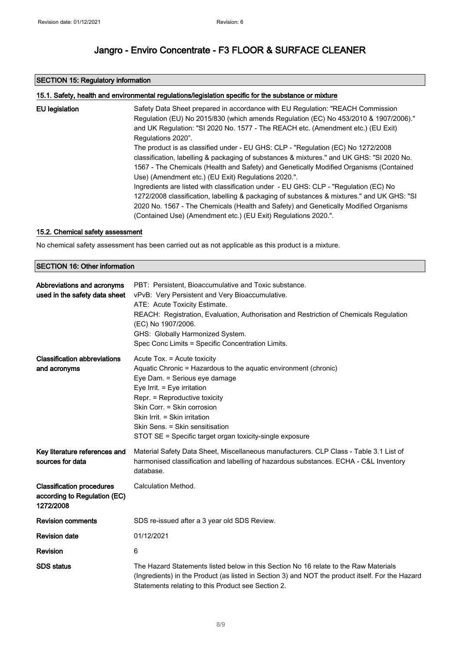## SECTION 15: Regulatory information

|                       | 15.1. Safety, health and environmental regulations/legislation specific for the substance or mixture                                                                                                                                                                                                                                         |
|-----------------------|----------------------------------------------------------------------------------------------------------------------------------------------------------------------------------------------------------------------------------------------------------------------------------------------------------------------------------------------|
| <b>EU</b> legislation | Safety Data Sheet prepared in accordance with EU Regulation: "REACH Commission<br>Regulation (EU) No 2015/830 (which amends Regulation (EC) No 453/2010 & 1907/2006)."<br>and UK Regulation: "SI 2020 No. 1577 - The REACH etc. (Amendment etc.) (EU Exit)<br>Regulations 2020".                                                             |
|                       | The product is as classified under - EU GHS: CLP - "Regulation (EC) No 1272/2008<br>classification, labelling & packaging of substances & mixtures." and UK GHS: "SI 2020 No.<br>1567 - The Chemicals (Health and Safety) and Genetically Modified Organisms (Contained<br>Use) (Amendment etc.) (EU Exit) Regulations 2020.".               |
|                       | Ingredients are listed with classification under - EU GHS: CLP - "Regulation (EC) No<br>1272/2008 classification, labelling & packaging of substances & mixtures." and UK GHS: "SI<br>2020 No. 1567 - The Chemicals (Health and Safety) and Genetically Modified Organisms<br>(Contained Use) (Amendment etc.) (EU Exit) Regulations 2020.". |

## 15.2. Chemical safety assessment

No chemical safety assessment has been carried out as not applicable as this product is a mixture.

## SECTION 16: Other information

| Abbreviations and acronyms<br>used in the safety data sheet                   | PBT: Persistent, Bioaccumulative and Toxic substance.<br>vPvB: Very Persistent and Very Bioaccumulative.<br>ATE: Acute Toxicity Estimate.<br>REACH: Registration, Evaluation, Authorisation and Restriction of Chemicals Regulation<br>(EC) No 1907/2006.<br>GHS: Globally Harmonized System.<br>Spec Conc Limits = Specific Concentration Limits.              |
|-------------------------------------------------------------------------------|-----------------------------------------------------------------------------------------------------------------------------------------------------------------------------------------------------------------------------------------------------------------------------------------------------------------------------------------------------------------|
| <b>Classification abbreviations</b><br>and acronyms                           | Acute Tox. = Acute toxicity<br>Aquatic Chronic = Hazardous to the aquatic environment (chronic)<br>Eye Dam. = Serious eye damage<br>Eye Irrit. = Eye irritation<br>Repr. = Reproductive toxicity<br>Skin Corr. = Skin corrosion<br>Skin Irrit. = Skin irritation<br>Skin Sens. = Skin sensitisation<br>STOT SE = Specific target organ toxicity-single exposure |
| Key literature references and<br>sources for data                             | Material Safety Data Sheet, Miscellaneous manufacturers. CLP Class - Table 3.1 List of<br>harmonised classification and labelling of hazardous substances. ECHA - C&L Inventory<br>database.                                                                                                                                                                    |
| <b>Classification procedures</b><br>according to Regulation (EC)<br>1272/2008 | Calculation Method.                                                                                                                                                                                                                                                                                                                                             |
| <b>Revision comments</b>                                                      | SDS re-issued after a 3 year old SDS Review.                                                                                                                                                                                                                                                                                                                    |
| <b>Revision date</b>                                                          | 01/12/2021                                                                                                                                                                                                                                                                                                                                                      |
| <b>Revision</b>                                                               | 6                                                                                                                                                                                                                                                                                                                                                               |
| <b>SDS</b> status                                                             | The Hazard Statements listed below in this Section No 16 relate to the Raw Materials<br>(Ingredients) in the Product (as listed in Section 3) and NOT the product itself. For the Hazard<br>Statements relating to this Product see Section 2.                                                                                                                  |